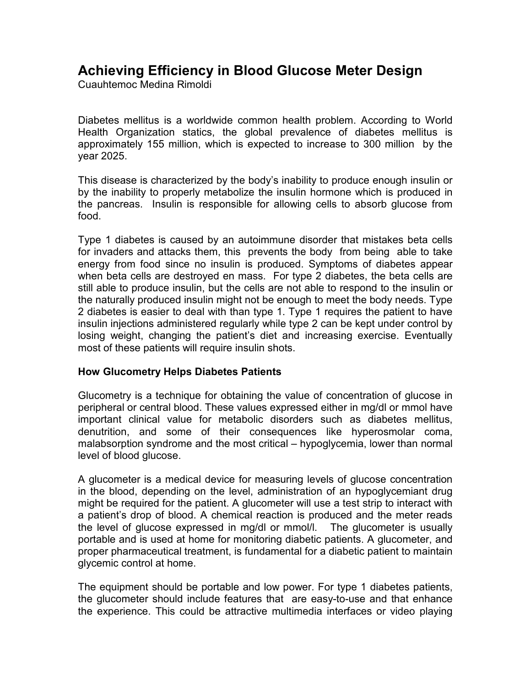# **Achieving Efficiency in Blood Glucose Meter Design**

Cuauhtemoc Medina Rimoldi

Diabetes mellitus is a worldwide common health problem. According to World Health Organization statics, the global prevalence of diabetes mellitus is approximately 155 million, which is expected to increase to 300 million by the year 2025.

This disease is characterized by the body's inability to produce enough insulin or by the inability to properly metabolize the insulin hormone which is produced in the pancreas. Insulin is responsible for allowing cells to absorb glucose from food.

Type 1 diabetes is caused by an autoimmune disorder that mistakes beta cells for invaders and attacks them, this prevents the body from being able to take energy from food since no insulin is produced. Symptoms of diabetes appear when beta cells are destroyed en mass. For type 2 diabetes, the beta cells are still able to produce insulin, but the cells are not able to respond to the insulin or the naturally produced insulin might not be enough to meet the body needs. Type 2 diabetes is easier to deal with than type 1. Type 1 requires the patient to have insulin injections administered regularly while type 2 can be kept under control by losing weight, changing the patient's diet and increasing exercise. Eventually most of these patients will require insulin shots.

## **How Glucometry Helps Diabetes Patients**

Glucometry is a technique for obtaining the value of concentration of glucose in peripheral or central blood. These values expressed either in mg/dl or mmol have important clinical value for metabolic disorders such as diabetes mellitus, denutrition, and some of their consequences like hyperosmolar coma, malabsorption syndrome and the most critical – hypoglycemia, lower than normal level of blood glucose.

A glucometer is a medical device for measuring levels of glucose concentration in the blood, depending on the level, administration of an hypoglycemiant drug might be required for the patient. A glucometer will use a test strip to interact with a patient's drop of blood. A chemical reaction is produced and the meter reads the level of glucose expressed in mg/dl or mmol/l. The glucometer is usually portable and is used at home for monitoring diabetic patients. A glucometer, and proper pharmaceutical treatment, is fundamental for a diabetic patient to maintain glycemic control at home.

The equipment should be portable and low power. For type 1 diabetes patients, the glucometer should include features that are easy-to-use and that enhance the experience. This could be attractive multimedia interfaces or video playing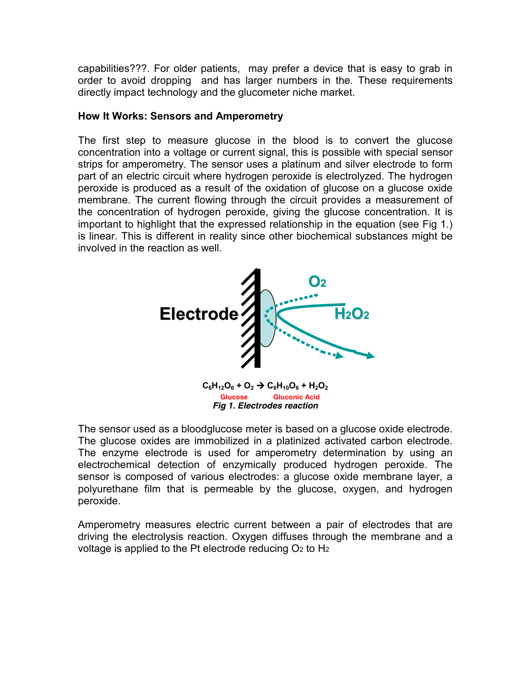capabilities???. For older patients, may prefer a device that is easy to grab in order to avoid dropping and has larger numbers in the. These requirements directly impact technology and the glucometer niche market.

#### **How It Works: Sensors and Amperometry**

The first step to measure glucose in the blood is to convert the glucose concentration into a voltage or current signal, this is possible with special sensor strips for amperometry. The sensor uses a platinum and silver electrode to form part of an electric circuit where hydrogen peroxide is electrolyzed. The hydrogen peroxide is produced as a result of the oxidation of glucose on a glucose oxide membrane. The current flowing through the circuit provides a measurement of the concentration of hydrogen peroxide, giving the glucose concentration. It is important to highlight that the expressed relationship in the equation (see Fig 1.) is linear. This is different in reality since other biochemical substances might be involved in the reaction as well.



*Fig 1. Electrodes reaction*

The sensor used as a bloodglucose meter is based on a glucose oxide electrode. The glucose oxides are immobilized in a platinized activated carbon electrode. The enzyme electrode is used for amperometry determination by using an electrochemical detection of enzymically produced hydrogen peroxide. The sensor is composed of various electrodes: a glucose oxide membrane layer, a polyurethane film that is permeable by the glucose, oxygen, and hydrogen peroxide.

Amperometry measures electric current between a pair of electrodes that are driving the electrolysis reaction. Oxygen diffuses through the membrane and a voltage is applied to the Pt electrode reducing  $O<sub>2</sub>$  to H<sub>2</sub>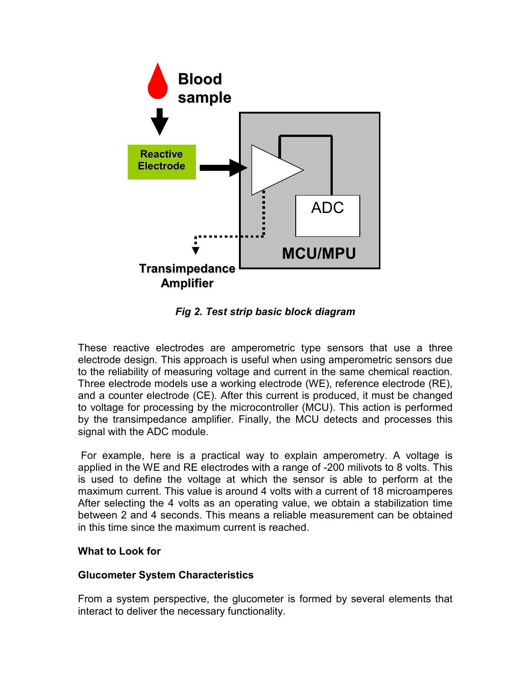

*Fig 2. Test strip basic block diagram* 

These reactive electrodes are amperometric type sensors that use a three electrode design. This approach is useful when using amperometric sensors due to the reliability of measuring voltage and current in the same chemical reaction. Three electrode models use a working electrode (WE), reference electrode (RE), and a counter electrode (CE). After this current is produced, it must be changed to voltage for processing by the microcontroller (MCU). This action is performed by the transimpedance amplifier. Finally, the MCU detects and processes this signal with the ADC module.

 For example, here is a practical way to explain amperometry. A voltage is applied in the WE and RE electrodes with a range of -200 milivots to 8 volts. This is used to define the voltage at which the sensor is able to perform at the maximum current. This value is around 4 volts with a current of 18 microamperes After selecting the 4 volts as an operating value, we obtain a stabilization time between 2 and 4 seconds. This means a reliable measurement can be obtained in this time since the maximum current is reached.

### **What to Look for**

### **Glucometer System Characteristics**

From a system perspective, the glucometer is formed by several elements that interact to deliver the necessary functionality.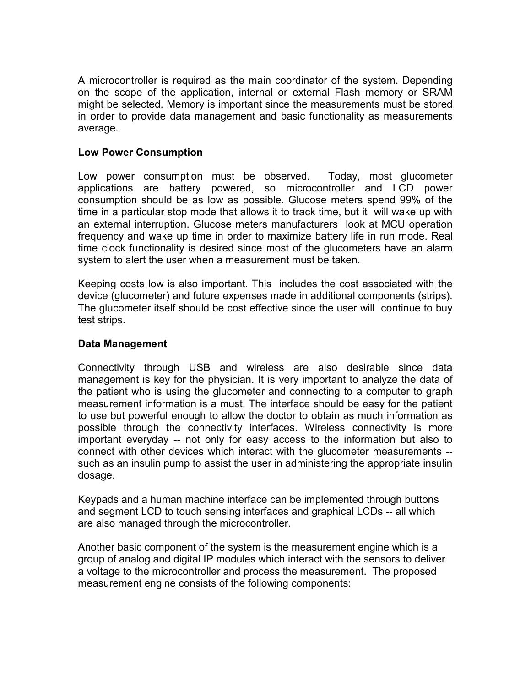A microcontroller is required as the main coordinator of the system. Depending on the scope of the application, internal or external Flash memory or SRAM might be selected. Memory is important since the measurements must be stored in order to provide data management and basic functionality as measurements average.

## **Low Power Consumption**

Low power consumption must be observed. Today, most glucometer applications are battery powered, so microcontroller and LCD power consumption should be as low as possible. Glucose meters spend 99% of the time in a particular stop mode that allows it to track time, but it will wake up with an external interruption. Glucose meters manufacturers look at MCU operation frequency and wake up time in order to maximize battery life in run mode. Real time clock functionality is desired since most of the glucometers have an alarm system to alert the user when a measurement must be taken.

Keeping costs low is also important. This includes the cost associated with the device (glucometer) and future expenses made in additional components (strips). The glucometer itself should be cost effective since the user will continue to buy test strips.

#### **Data Management**

Connectivity through USB and wireless are also desirable since data management is key for the physician. It is very important to analyze the data of the patient who is using the glucometer and connecting to a computer to graph measurement information is a must. The interface should be easy for the patient to use but powerful enough to allow the doctor to obtain as much information as possible through the connectivity interfaces. Wireless connectivity is more important everyday -- not only for easy access to the information but also to connect with other devices which interact with the glucometer measurements - such as an insulin pump to assist the user in administering the appropriate insulin dosage.

Keypads and a human machine interface can be implemented through buttons and segment LCD to touch sensing interfaces and graphical LCDs -- all which are also managed through the microcontroller.

Another basic component of the system is the measurement engine which is a group of analog and digital IP modules which interact with the sensors to deliver a voltage to the microcontroller and process the measurement. The proposed measurement engine consists of the following components: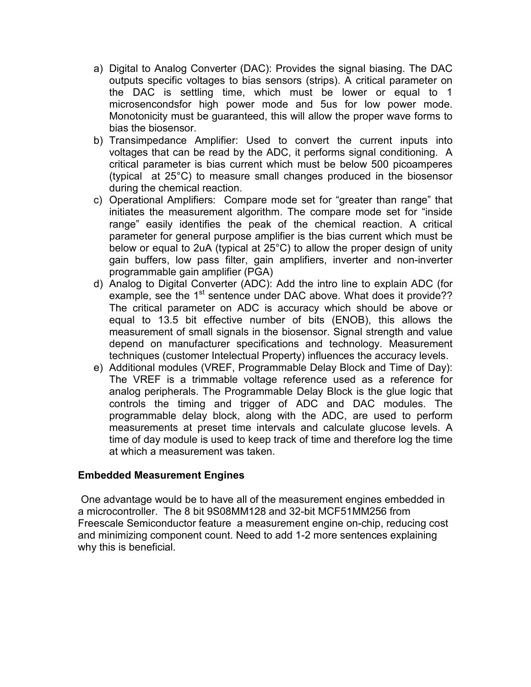- a) Digital to Analog Converter (DAC): Provides the signal biasing. The DAC outputs specific voltages to bias sensors (strips). A critical parameter on the DAC is settling time, which must be lower or equal to 1 microsencondsfor high power mode and 5us for low power mode. Monotonicity must be guaranteed, this will allow the proper wave forms to bias the biosensor.
- b) Transimpedance Amplifier: Used to convert the current inputs into voltages that can be read by the ADC, it performs signal conditioning. A critical parameter is bias current which must be below 500 picoamperes (typical at 25°C) to measure small changes produced in the biosensor during the chemical reaction.
- c) Operational Amplifiers: Compare mode set for "greater than range" that initiates the measurement algorithm. The compare mode set for "inside range" easily identifies the peak of the chemical reaction. A critical parameter for general purpose amplifier is the bias current which must be below or equal to 2uA (typical at 25°C) to allow the proper design of unity gain buffers, low pass filter, gain amplifiers, inverter and non-inverter programmable gain amplifier (PGA)
- d) Analog to Digital Converter (ADC): Add the intro line to explain ADC (for example, see the 1<sup>st</sup> sentence under DAC above. What does it provide?? The critical parameter on ADC is accuracy which should be above or equal to 13.5 bit effective number of bits (ENOB), this allows the measurement of small signals in the biosensor. Signal strength and value depend on manufacturer specifications and technology. Measurement techniques (customer Intelectual Property) influences the accuracy levels.
- e) Additional modules (VREF, Programmable Delay Block and Time of Day): The VREF is a trimmable voltage reference used as a reference for analog peripherals. The Programmable Delay Block is the glue logic that controls the timing and trigger of ADC and DAC modules. The programmable delay block, along with the ADC, are used to perform measurements at preset time intervals and calculate glucose levels. A time of day module is used to keep track of time and therefore log the time at which a measurement was taken.

### **Embedded Measurement Engines**

 One advantage would be to have all of the measurement engines embedded in a microcontroller. The 8 bit 9S08MM128 and 32-bit MCF51MM256 from Freescale Semiconductor feature a measurement engine on-chip, reducing cost and minimizing component count. Need to add 1-2 more sentences explaining why this is beneficial.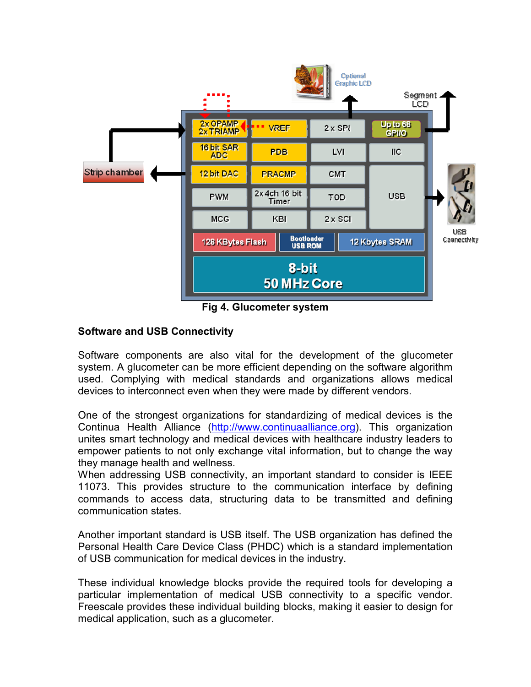

**Fig 4. Glucometer system** 

## **Software and USB Connectivity**

Software components are also vital for the development of the glucometer system. A glucometer can be more efficient depending on the software algorithm used. Complying with medical standards and organizations allows medical devices to interconnect even when they were made by different vendors.

One of the strongest organizations for standardizing of medical devices is the Continua Health Alliance (http://www.continuaalliance.org). This organization unites smart technology and medical devices with healthcare industry leaders to empower patients to not only exchange vital information, but to change the way they manage health and wellness.

When addressing USB connectivity, an important standard to consider is IEEE 11073. This provides structure to the communication interface by defining commands to access data, structuring data to be transmitted and defining communication states.

Another important standard is USB itself. The USB organization has defined the Personal Health Care Device Class (PHDC) which is a standard implementation of USB communication for medical devices in the industry.

These individual knowledge blocks provide the required tools for developing a particular implementation of medical USB connectivity to a specific vendor. Freescale provides these individual building blocks, making it easier to design for medical application, such as a glucometer.